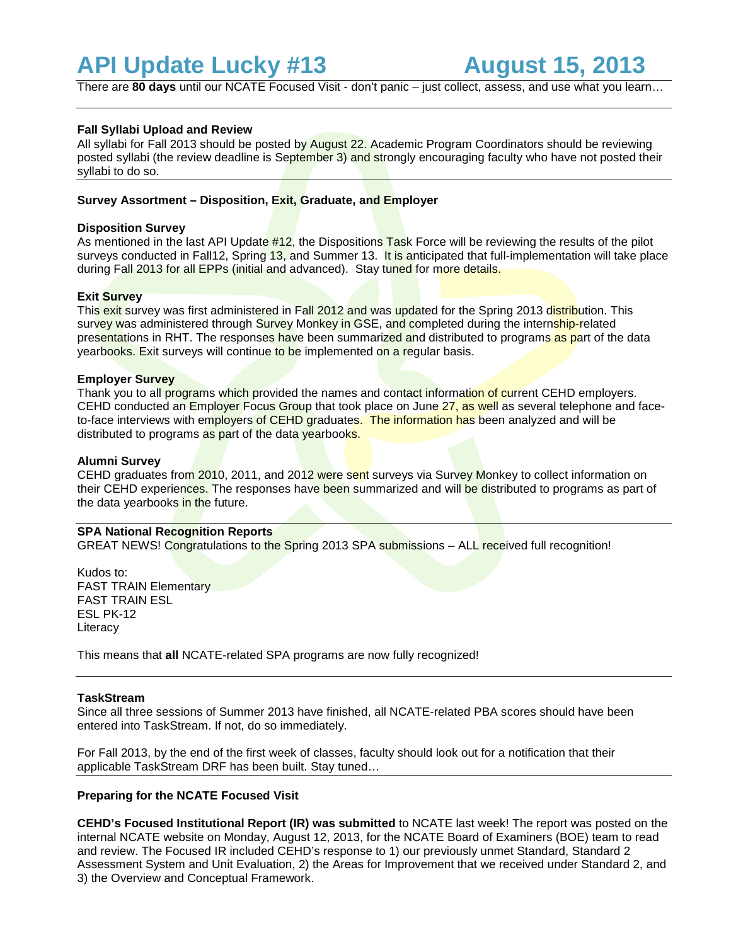# **API Update Lucky #13 August 15, 2013**

There are **80 days** until our NCATE Focused Visit - don't panic – just collect, assess, and use what you learn…

## **Fall Syllabi Upload and Review**

All syllabi for Fall 2013 should be posted by August 22. Academic Program Coordinators should be reviewing posted syllabi (the review deadline is September 3) and strongly encouraging faculty who have not posted their syllabi to do so.

## **Survey Assortment – Disposition, Exit, Graduate, and Employer**

### **Disposition Survey**

As mentioned in the last API Update #12, the Dispositions Task Force will be reviewing the results of the pilot surveys conducted in Fall12, Spring 13, and Summer 13. It is anticipated that full-implementation will take place during Fall 2013 for all EPPs (initial and advanced). Stay tuned for more details.

## **Exit Survey**

This exit survey was first administered in Fall 2012 and was updated for the Spring 2013 distribution. This survey was administered through Survey Monkey in GSE, and completed during the internship-related presentations in RHT. The responses have been summarized and distributed to programs as part of the data yearbooks. Exit surveys will continue to be implemented on a regular basis.

#### **Employer Survey**

Thank you to all programs which provided the names and contact information of current CEHD employers. CEHD conducted an Employer Focus Group that took place on June 27, as well as several telephone and faceto-face interviews with employers of CEHD graduates. The information has been analyzed and will be distributed to programs as part of the data yearbooks.

## **Alumni Survey**

CEHD graduates from 2010, 2011, and 2012 were sent surveys via Survey Monkey to collect information on their CEHD experiences. The responses have been summarized and will be distributed to programs as part of the data yearbooks in the future.

#### **SPA National Recognition Reports**

GREAT NEWS! Congratulations to the Spring 2013 SPA submissions – ALL received full recognition!

Kudos to: FAST TRAIN Elementary FAST TRAIN ESL ESL PK-12 **Literacy** 

This means that **all** NCATE-related SPA programs are now fully recognized!

## **TaskStream**

Since all three sessions of Summer 2013 have finished, all NCATE-related PBA scores should have been entered into TaskStream. If not, do so immediately.

For Fall 2013, by the end of the first week of classes, faculty should look out for a notification that their applicable TaskStream DRF has been built. Stay tuned…

## **Preparing for the NCATE Focused Visit**

**CEHD's Focused Institutional Report (IR) was submitted** to NCATE last week! The report was posted on the internal NCATE website on Monday, August 12, 2013, for the NCATE Board of Examiners (BOE) team to read and review. The Focused IR included CEHD's response to 1) our previously unmet Standard, Standard 2 Assessment System and Unit Evaluation, 2) the Areas for Improvement that we received under Standard 2, and 3) the Overview and Conceptual Framework.